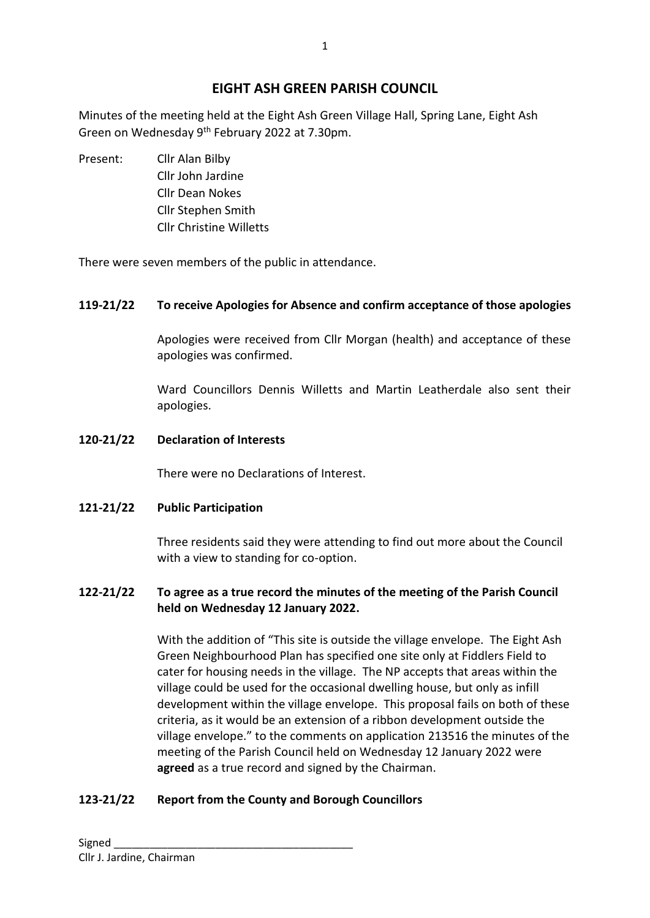# **EIGHT ASH GREEN PARISH COUNCIL**

Minutes of the meeting held at the Eight Ash Green Village Hall, Spring Lane, Eight Ash Green on Wednesday 9<sup>th</sup> February 2022 at 7.30pm.

Present: Cllr Alan Bilby Cllr John Jardine Cllr Dean Nokes Cllr Stephen Smith Cllr Christine Willetts

There were seven members of the public in attendance.

### **119-21/22 To receive Apologies for Absence and confirm acceptance of those apologies**

Apologies were received from Cllr Morgan (health) and acceptance of these apologies was confirmed.

Ward Councillors Dennis Willetts and Martin Leatherdale also sent their apologies.

#### **120-21/22 Declaration of Interests**

There were no Declarations of Interest.

### **121-21/22 Public Participation**

Three residents said they were attending to find out more about the Council with a view to standing for co-option.

### **122-21/22 To agree as a true record the minutes of the meeting of the Parish Council held on Wednesday 12 January 2022.**

With the addition of "This site is outside the village envelope. The Eight Ash Green Neighbourhood Plan has specified one site only at Fiddlers Field to cater for housing needs in the village. The NP accepts that areas within the village could be used for the occasional dwelling house, but only as infill development within the village envelope. This proposal fails on both of these criteria, as it would be an extension of a ribbon development outside the village envelope." to the comments on application 213516 the minutes of the meeting of the Parish Council held on Wednesday 12 January 2022 were **agreed** as a true record and signed by the Chairman.

### **123-21/22 Report from the County and Borough Councillors**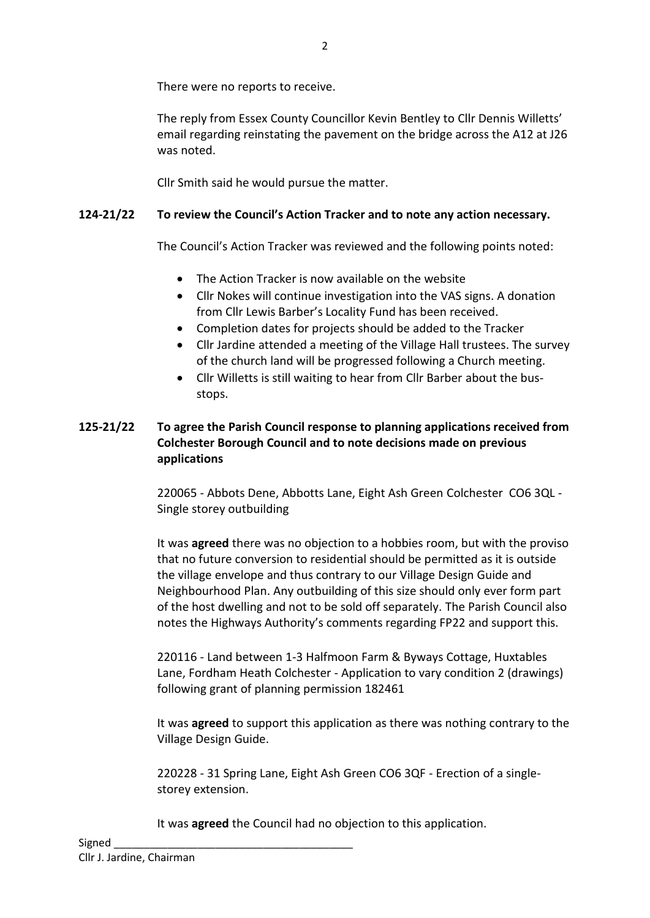There were no reports to receive.

The reply from Essex County Councillor Kevin Bentley to Cllr Dennis Willetts' email regarding reinstating the pavement on the bridge across the A12 at J26 was noted.

Cllr Smith said he would pursue the matter.

# **124-21/22 To review the Council's Action Tracker and to note any action necessary.**

The Council's Action Tracker was reviewed and the following points noted:

- The Action Tracker is now available on the website
- Cllr Nokes will continue investigation into the VAS signs. A donation from Cllr Lewis Barber's Locality Fund has been received.
- Completion dates for projects should be added to the Tracker
- Cllr Jardine attended a meeting of the Village Hall trustees. The survey of the church land will be progressed following a Church meeting.
- Cllr Willetts is still waiting to hear from Cllr Barber about the busstops.

# **125-21/22 To agree the Parish Council response to planning applications received from Colchester Borough Council and to note decisions made on previous applications**

220065 - Abbots Dene, Abbotts Lane, Eight Ash Green Colchester CO6 3QL - Single storey outbuilding

It was **agreed** there was no objection to a hobbies room, but with the proviso that no future conversion to residential should be permitted as it is outside the village envelope and thus contrary to our Village Design Guide and Neighbourhood Plan. Any outbuilding of this size should only ever form part of the host dwelling and not to be sold off separately. The Parish Council also notes the Highways Authority's comments regarding FP22 and support this.

220116 - Land between 1-3 Halfmoon Farm & Byways Cottage, Huxtables Lane, Fordham Heath Colchester - Application to vary condition 2 (drawings) following grant of planning permission 182461

It was **agreed** to support this application as there was nothing contrary to the Village Design Guide.

220228 - 31 Spring Lane, Eight Ash Green CO6 3QF - Erection of a singlestorey extension.

It was **agreed** the Council had no objection to this application.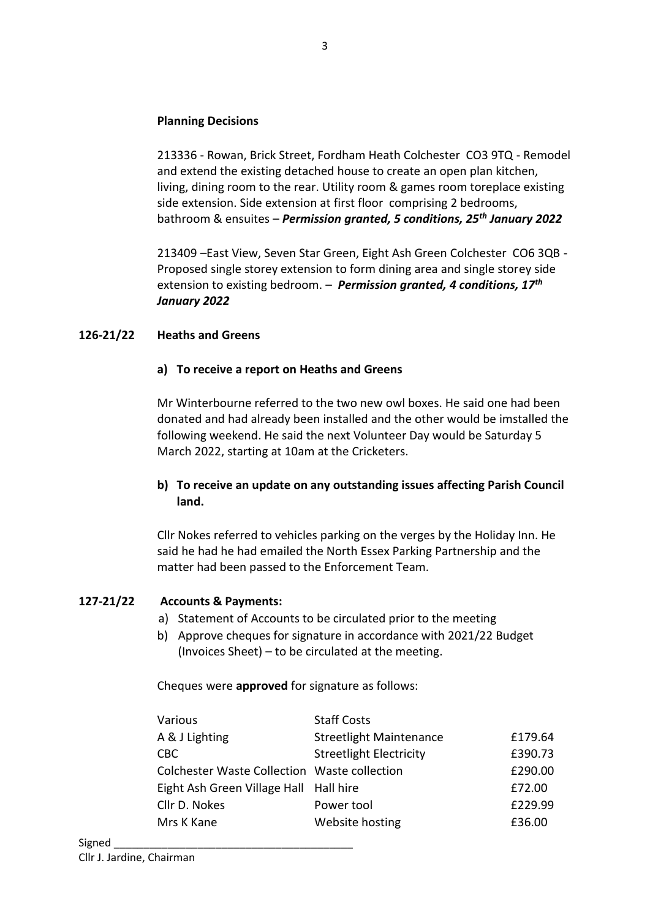### **Planning Decisions**

213336 - Rowan, Brick Street, Fordham Heath Colchester CO3 9TQ - Remodel and extend the existing detached house to create an open plan kitchen, living, dining room to the rear. Utility room & games room toreplace existing side extension. Side extension at first floor comprising 2 bedrooms, bathroom & ensuites – *Permission granted, 5 conditions, 25th January 2022*

213409 –East View, Seven Star Green, Eight Ash Green Colchester CO6 3QB - Proposed single storey extension to form dining area and single storey side extension to existing bedroom. – *Permission granted, 4 conditions, 17th January 2022*

### **126-21/22 Heaths and Greens**

#### **a) To receive a report on Heaths and Greens**

Mr Winterbourne referred to the two new owl boxes. He said one had been donated and had already been installed and the other would be imstalled the following weekend. He said the next Volunteer Day would be Saturday 5 March 2022, starting at 10am at the Cricketers.

### **b) To receive an update on any outstanding issues affecting Parish Council land.**

Cllr Nokes referred to vehicles parking on the verges by the Holiday Inn. He said he had he had emailed the North Essex Parking Partnership and the matter had been passed to the Enforcement Team.

### **127-21/22 Accounts & Payments:**

- a) Statement of Accounts to be circulated prior to the meeting
- b) Approve cheques for signature in accordance with 2021/22 Budget (Invoices Sheet) – to be circulated at the meeting.

Cheques were **approved** for signature as follows:

| A & J Lighting<br><b>Streetlight Maintenance</b><br>£179.64 |  |
|-------------------------------------------------------------|--|
| £390.73<br><b>Streetlight Electricity</b><br><b>CBC</b>     |  |
| £290.00<br>Colchester Waste Collection Waste collection     |  |
| Eight Ash Green Village Hall Hall hire<br>£72.00            |  |
| £229.99<br>Cllr D. Nokes<br>Power tool                      |  |
| Website hosting<br>£36.00<br>Mrs K Kane                     |  |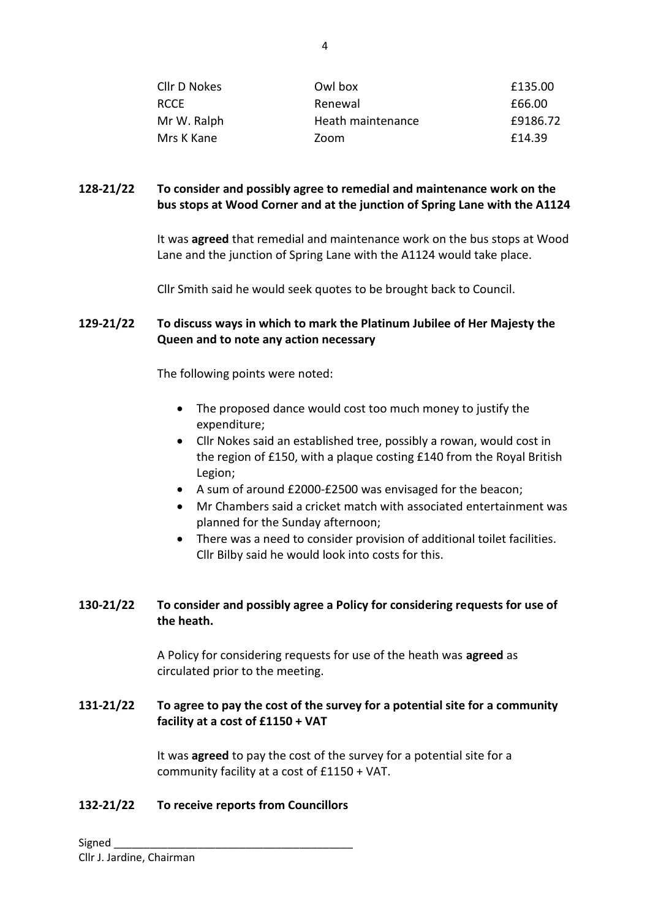| Cllr D Nokes | Owl box           | £135.00  |
|--------------|-------------------|----------|
| <b>RCCE</b>  | Renewal           | £66.00   |
| Mr W. Ralph  | Heath maintenance | £9186.72 |
| Mrs K Kane   | Zoom              | £14.39   |

### **128-21/22 To consider and possibly agree to remedial and maintenance work on the bus stops at Wood Corner and at the junction of Spring Lane with the A1124**

It was **agreed** that remedial and maintenance work on the bus stops at Wood Lane and the junction of Spring Lane with the A1124 would take place.

Cllr Smith said he would seek quotes to be brought back to Council.

#### **129-21/22 To discuss ways in which to mark the Platinum Jubilee of Her Majesty the Queen and to note any action necessary**

The following points were noted:

- The proposed dance would cost too much money to justify the expenditure;
- Cllr Nokes said an established tree, possibly a rowan, would cost in the region of £150, with a plaque costing £140 from the Royal British Legion;
- A sum of around £2000-£2500 was envisaged for the beacon;
- Mr Chambers said a cricket match with associated entertainment was planned for the Sunday afternoon;
- There was a need to consider provision of additional toilet facilities. Cllr Bilby said he would look into costs for this.

## **130-21/22 To consider and possibly agree a Policy for considering requests for use of the heath.**

A Policy for considering requests for use of the heath was **agreed** as circulated prior to the meeting.

## **131-21/22 To agree to pay the cost of the survey for a potential site for a community facility at a cost of £1150 + VAT**

It was **agreed** to pay the cost of the survey for a potential site for a community facility at a cost of £1150 + VAT.

### **132-21/22 To receive reports from Councillors**